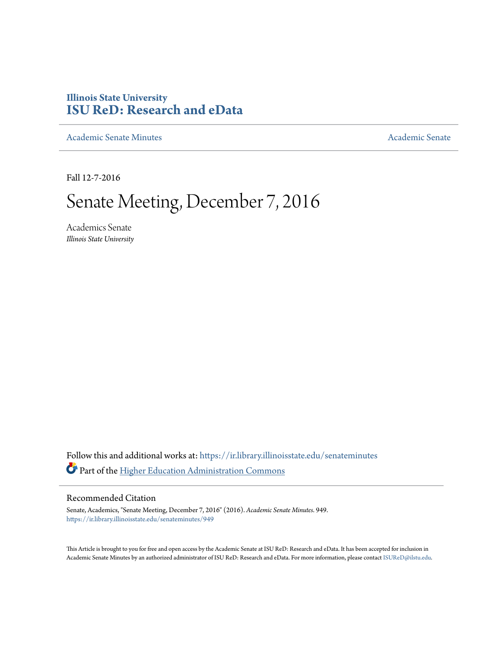## **Illinois State University [ISU ReD: Research and eData](https://ir.library.illinoisstate.edu?utm_source=ir.library.illinoisstate.edu%2Fsenateminutes%2F949&utm_medium=PDF&utm_campaign=PDFCoverPages)**

[Academic Senate Minutes](https://ir.library.illinoisstate.edu/senateminutes?utm_source=ir.library.illinoisstate.edu%2Fsenateminutes%2F949&utm_medium=PDF&utm_campaign=PDFCoverPages) [Academic Senate](https://ir.library.illinoisstate.edu/senate?utm_source=ir.library.illinoisstate.edu%2Fsenateminutes%2F949&utm_medium=PDF&utm_campaign=PDFCoverPages) Academic Senate

Fall 12-7-2016

# Senate Meeting, December 7, 2016

Academics Senate *Illinois State University*

Follow this and additional works at: [https://ir.library.illinoisstate.edu/senateminutes](https://ir.library.illinoisstate.edu/senateminutes?utm_source=ir.library.illinoisstate.edu%2Fsenateminutes%2F949&utm_medium=PDF&utm_campaign=PDFCoverPages) Part of the [Higher Education Administration Commons](http://network.bepress.com/hgg/discipline/791?utm_source=ir.library.illinoisstate.edu%2Fsenateminutes%2F949&utm_medium=PDF&utm_campaign=PDFCoverPages)

#### Recommended Citation

Senate, Academics, "Senate Meeting, December 7, 2016" (2016). *Academic Senate Minutes*. 949. [https://ir.library.illinoisstate.edu/senateminutes/949](https://ir.library.illinoisstate.edu/senateminutes/949?utm_source=ir.library.illinoisstate.edu%2Fsenateminutes%2F949&utm_medium=PDF&utm_campaign=PDFCoverPages)

This Article is brought to you for free and open access by the Academic Senate at ISU ReD: Research and eData. It has been accepted for inclusion in Academic Senate Minutes by an authorized administrator of ISU ReD: Research and eData. For more information, please contact [ISUReD@ilstu.edu.](mailto:ISUReD@ilstu.edu)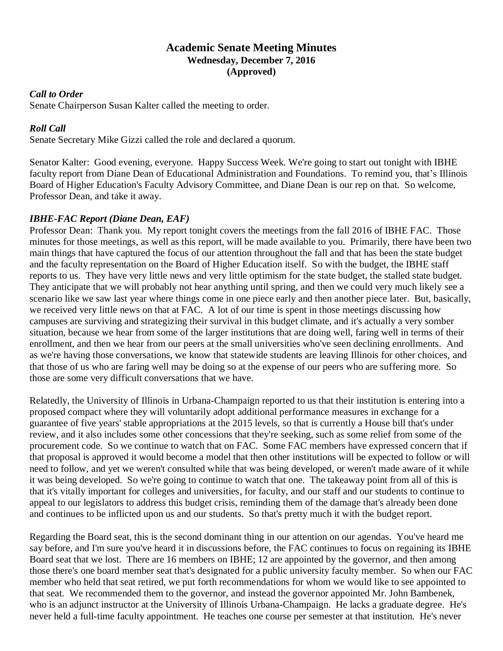## **Academic Senate Meeting Minutes Wednesday, December 7, 2016 (Approved)**

## *Call to Order*

Senate Chairperson Susan Kalter called the meeting to order.

## *Roll Call*

Senate Secretary Mike Gizzi called the role and declared a quorum.

Senator Kalter: Good evening, everyone. Happy Success Week. We're going to start out tonight with IBHE faculty report from Diane Dean of Educational Administration and Foundations. To remind you, that's Illinois Board of Higher Education's Faculty Advisory Committee, and Diane Dean is our rep on that. So welcome, Professor Dean, and take it away.

## *IBHE-FAC Report (Diane Dean, EAF)*

Professor Dean: Thank you. My report tonight covers the meetings from the fall 2016 of IBHE FAC. Those minutes for those meetings, as well as this report, will be made available to you. Primarily, there have been two main things that have captured the focus of our attention throughout the fall and that has been the state budget and the faculty representation on the Board of Higher Education itself. So with the budget, the IBHE staff reports to us. They have very little news and very little optimism for the state budget, the stalled state budget. They anticipate that we will probably not hear anything until spring, and then we could very much likely see a scenario like we saw last year where things come in one piece early and then another piece later. But, basically, we received very little news on that at FAC. A lot of our time is spent in those meetings discussing how campuses are surviving and strategizing their survival in this budget climate, and it's actually a very somber situation, because we hear from some of the larger institutions that are doing well, faring well in terms of their enrollment, and then we hear from our peers at the small universities who've seen declining enrollments. And as we're having those conversations, we know that statewide students are leaving Illinois for other choices, and that those of us who are faring well may be doing so at the expense of our peers who are suffering more. So those are some very difficult conversations that we have.

Relatedly, the University of Illinois in Urbana-Champaign reported to us that their institution is entering into a proposed compact where they will voluntarily adopt additional performance measures in exchange for a guarantee of five years' stable appropriations at the 2015 levels, so that is currently a House bill that's under review, and it also includes some other concessions that they're seeking, such as some relief from some of the procurement code. So we continue to watch that on FAC. Some FAC members have expressed concern that if that proposal is approved it would become a model that then other institutions will be expected to follow or will need to follow, and yet we weren't consulted while that was being developed, or weren't made aware of it while it was being developed. So we're going to continue to watch that one. The takeaway point from all of this is that it's vitally important for colleges and universities, for faculty, and our staff and our students to continue to appeal to our legislators to address this budget crisis, reminding them of the damage that's already been done and continues to be inflicted upon us and our students. So that's pretty much it with the budget report.

Regarding the Board seat, this is the second dominant thing in our attention on our agendas. You've heard me say before, and I'm sure you've heard it in discussions before, the FAC continues to focus on regaining its IBHE Board seat that we lost. There are 16 members on IBHE; 12 are appointed by the governor, and then among those there's one board member seat that's designated for a public university faculty member. So when our FAC member who held that seat retired, we put forth recommendations for whom we would like to see appointed to that seat. We recommended them to the governor, and instead the governor appointed Mr. John Bambenek, who is an adjunct instructor at the University of Illinois Urbana-Champaign. He lacks a graduate degree. He's never held a full-time faculty appointment. He teaches one course per semester at that institution. He's never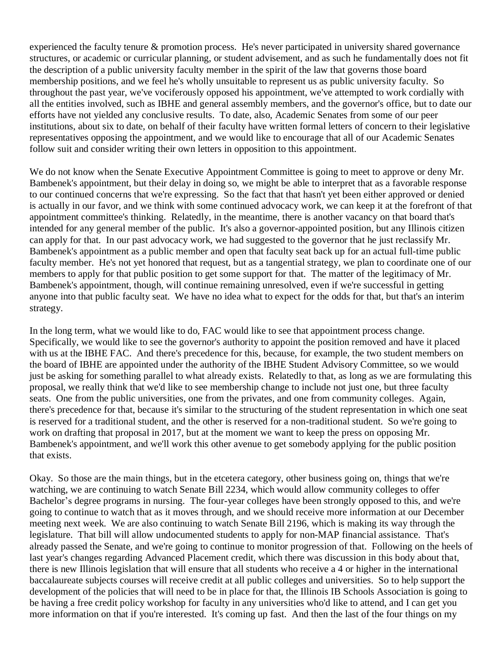experienced the faculty tenure & promotion process. He's never participated in university shared governance structures, or academic or curricular planning, or student advisement, and as such he fundamentally does not fit the description of a public university faculty member in the spirit of the law that governs those board membership positions, and we feel he's wholly unsuitable to represent us as public university faculty. So throughout the past year, we've vociferously opposed his appointment, we've attempted to work cordially with all the entities involved, such as IBHE and general assembly members, and the governor's office, but to date our efforts have not yielded any conclusive results. To date, also, Academic Senates from some of our peer institutions, about six to date, on behalf of their faculty have written formal letters of concern to their legislative representatives opposing the appointment, and we would like to encourage that all of our Academic Senates follow suit and consider writing their own letters in opposition to this appointment.

We do not know when the Senate Executive Appointment Committee is going to meet to approve or deny Mr. Bambenek's appointment, but their delay in doing so, we might be able to interpret that as a favorable response to our continued concerns that we're expressing. So the fact that that hasn't yet been either approved or denied is actually in our favor, and we think with some continued advocacy work, we can keep it at the forefront of that appointment committee's thinking. Relatedly, in the meantime, there is another vacancy on that board that's intended for any general member of the public. It's also a governor-appointed position, but any Illinois citizen can apply for that. In our past advocacy work, we had suggested to the governor that he just reclassify Mr. Bambenek's appointment as a public member and open that faculty seat back up for an actual full-time public faculty member. He's not yet honored that request, but as a tangential strategy, we plan to coordinate one of our members to apply for that public position to get some support for that. The matter of the legitimacy of Mr. Bambenek's appointment, though, will continue remaining unresolved, even if we're successful in getting anyone into that public faculty seat. We have no idea what to expect for the odds for that, but that's an interim strategy.

In the long term, what we would like to do, FAC would like to see that appointment process change. Specifically, we would like to see the governor's authority to appoint the position removed and have it placed with us at the IBHE FAC. And there's precedence for this, because, for example, the two student members on the board of IBHE are appointed under the authority of the IBHE Student Advisory Committee, so we would just be asking for something parallel to what already exists. Relatedly to that, as long as we are formulating this proposal, we really think that we'd like to see membership change to include not just one, but three faculty seats. One from the public universities, one from the privates, and one from community colleges. Again, there's precedence for that, because it's similar to the structuring of the student representation in which one seat is reserved for a traditional student, and the other is reserved for a non-traditional student. So we're going to work on drafting that proposal in 2017, but at the moment we want to keep the press on opposing Mr. Bambenek's appointment, and we'll work this other avenue to get somebody applying for the public position that exists.

Okay. So those are the main things, but in the etcetera category, other business going on, things that we're watching, we are continuing to watch Senate Bill 2234, which would allow community colleges to offer Bachelor's degree programs in nursing. The four-year colleges have been strongly opposed to this, and we're going to continue to watch that as it moves through, and we should receive more information at our December meeting next week. We are also continuing to watch Senate Bill 2196, which is making its way through the legislature. That bill will allow undocumented students to apply for non-MAP financial assistance. That's already passed the Senate, and we're going to continue to monitor progression of that. Following on the heels of last year's changes regarding Advanced Placement credit, which there was discussion in this body about that, there is new Illinois legislation that will ensure that all students who receive a 4 or higher in the international baccalaureate subjects courses will receive credit at all public colleges and universities. So to help support the development of the policies that will need to be in place for that, the Illinois IB Schools Association is going to be having a free credit policy workshop for faculty in any universities who'd like to attend, and I can get you more information on that if you're interested. It's coming up fast. And then the last of the four things on my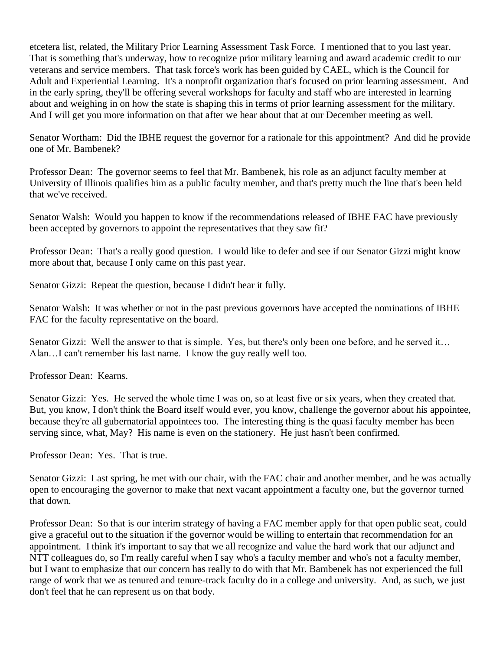etcetera list, related, the Military Prior Learning Assessment Task Force. I mentioned that to you last year. That is something that's underway, how to recognize prior military learning and award academic credit to our veterans and service members. That task force's work has been guided by CAEL, which is the Council for Adult and Experiential Learning. It's a nonprofit organization that's focused on prior learning assessment. And in the early spring, they'll be offering several workshops for faculty and staff who are interested in learning about and weighing in on how the state is shaping this in terms of prior learning assessment for the military. And I will get you more information on that after we hear about that at our December meeting as well.

Senator Wortham: Did the IBHE request the governor for a rationale for this appointment? And did he provide one of Mr. Bambenek?

Professor Dean: The governor seems to feel that Mr. Bambenek, his role as an adjunct faculty member at University of Illinois qualifies him as a public faculty member, and that's pretty much the line that's been held that we've received.

Senator Walsh: Would you happen to know if the recommendations released of IBHE FAC have previously been accepted by governors to appoint the representatives that they saw fit?

Professor Dean: That's a really good question. I would like to defer and see if our Senator Gizzi might know more about that, because I only came on this past year.

Senator Gizzi: Repeat the question, because I didn't hear it fully.

Senator Walsh: It was whether or not in the past previous governors have accepted the nominations of IBHE FAC for the faculty representative on the board.

Senator Gizzi: Well the answer to that is simple. Yes, but there's only been one before, and he served it… Alan…I can't remember his last name. I know the guy really well too.

Professor Dean: Kearns.

Senator Gizzi: Yes. He served the whole time I was on, so at least five or six years, when they created that. But, you know, I don't think the Board itself would ever, you know, challenge the governor about his appointee, because they're all gubernatorial appointees too. The interesting thing is the quasi faculty member has been serving since, what, May? His name is even on the stationery. He just hasn't been confirmed.

Professor Dean: Yes. That is true.

Senator Gizzi: Last spring, he met with our chair, with the FAC chair and another member, and he was actually open to encouraging the governor to make that next vacant appointment a faculty one, but the governor turned that down.

Professor Dean: So that is our interim strategy of having a FAC member apply for that open public seat, could give a graceful out to the situation if the governor would be willing to entertain that recommendation for an appointment. I think it's important to say that we all recognize and value the hard work that our adjunct and NTT colleagues do, so I'm really careful when I say who's a faculty member and who's not a faculty member, but I want to emphasize that our concern has really to do with that Mr. Bambenek has not experienced the full range of work that we as tenured and tenure-track faculty do in a college and university. And, as such, we just don't feel that he can represent us on that body.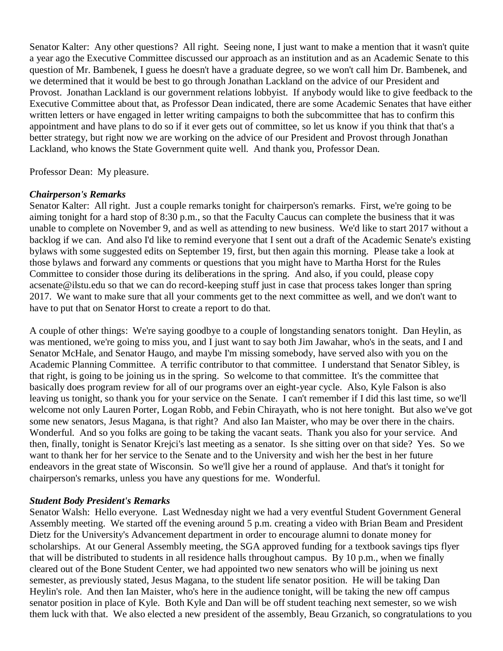Senator Kalter: Any other questions? All right. Seeing none, I just want to make a mention that it wasn't quite a year ago the Executive Committee discussed our approach as an institution and as an Academic Senate to this question of Mr. Bambenek, I guess he doesn't have a graduate degree, so we won't call him Dr. Bambenek, and we determined that it would be best to go through Jonathan Lackland on the advice of our President and Provost. Jonathan Lackland is our government relations lobbyist. If anybody would like to give feedback to the Executive Committee about that, as Professor Dean indicated, there are some Academic Senates that have either written letters or have engaged in letter writing campaigns to both the subcommittee that has to confirm this appointment and have plans to do so if it ever gets out of committee, so let us know if you think that that's a better strategy, but right now we are working on the advice of our President and Provost through Jonathan Lackland, who knows the State Government quite well. And thank you, Professor Dean.

Professor Dean: My pleasure.

#### *Chairperson's Remarks*

Senator Kalter: All right. Just a couple remarks tonight for chairperson's remarks. First, we're going to be aiming tonight for a hard stop of 8:30 p.m., so that the Faculty Caucus can complete the business that it was unable to complete on November 9, and as well as attending to new business. We'd like to start 2017 without a backlog if we can. And also I'd like to remind everyone that I sent out a draft of the Academic Senate's existing bylaws with some suggested edits on September 19, first, but then again this morning. Please take a look at those bylaws and forward any comments or questions that you might have to Martha Horst for the Rules Committee to consider those during its deliberations in the spring. And also, if you could, please copy acsenate@ilstu.edu so that we can do record-keeping stuff just in case that process takes longer than spring 2017. We want to make sure that all your comments get to the next committee as well, and we don't want to have to put that on Senator Horst to create a report to do that.

A couple of other things: We're saying goodbye to a couple of longstanding senators tonight. Dan Heylin, as was mentioned, we're going to miss you, and I just want to say both Jim Jawahar, who's in the seats, and I and Senator McHale, and Senator Haugo, and maybe I'm missing somebody, have served also with you on the Academic Planning Committee. A terrific contributor to that committee. I understand that Senator Sibley, is that right, is going to be joining us in the spring. So welcome to that committee. It's the committee that basically does program review for all of our programs over an eight-year cycle. Also, Kyle Falson is also leaving us tonight, so thank you for your service on the Senate. I can't remember if I did this last time, so we'll welcome not only Lauren Porter, Logan Robb, and Febin Chirayath, who is not here tonight. But also we've got some new senators, Jesus Magana, is that right? And also Ian Maister, who may be over there in the chairs. Wonderful. And so you folks are going to be taking the vacant seats. Thank you also for your service. And then, finally, tonight is Senator Krejci's last meeting as a senator. Is she sitting over on that side? Yes. So we want to thank her for her service to the Senate and to the University and wish her the best in her future endeavors in the great state of Wisconsin. So we'll give her a round of applause. And that's it tonight for chairperson's remarks, unless you have any questions for me. Wonderful.

#### *Student Body President's Remarks*

Senator Walsh: Hello everyone. Last Wednesday night we had a very eventful Student Government General Assembly meeting. We started off the evening around 5 p.m. creating a video with Brian Beam and President Dietz for the University's Advancement department in order to encourage alumni to donate money for scholarships. At our General Assembly meeting, the SGA approved funding for a textbook savings tips flyer that will be distributed to students in all residence halls throughout campus. By 10 p.m., when we finally cleared out of the Bone Student Center, we had appointed two new senators who will be joining us next semester, as previously stated, Jesus Magana, to the student life senator position. He will be taking Dan Heylin's role. And then Ian Maister, who's here in the audience tonight, will be taking the new off campus senator position in place of Kyle. Both Kyle and Dan will be off student teaching next semester, so we wish them luck with that. We also elected a new president of the assembly, Beau Grzanich, so congratulations to you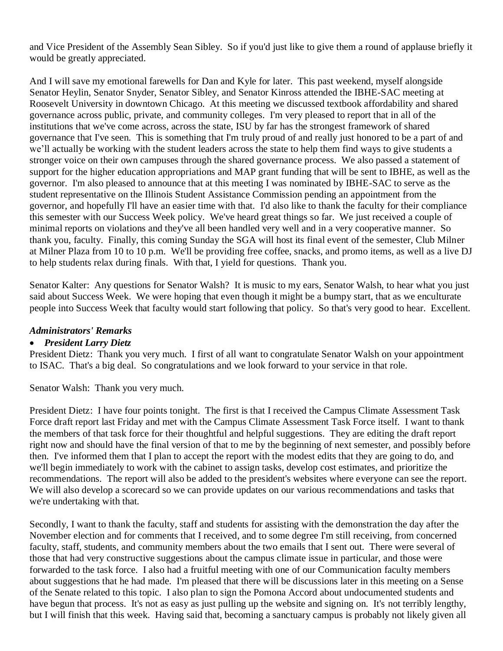and Vice President of the Assembly Sean Sibley. So if you'd just like to give them a round of applause briefly it would be greatly appreciated.

And I will save my emotional farewells for Dan and Kyle for later. This past weekend, myself alongside Senator Heylin, Senator Snyder, Senator Sibley, and Senator Kinross attended the IBHE-SAC meeting at Roosevelt University in downtown Chicago. At this meeting we discussed textbook affordability and shared governance across public, private, and community colleges. I'm very pleased to report that in all of the institutions that we've come across, across the state, ISU by far has the strongest framework of shared governance that I've seen. This is something that I'm truly proud of and really just honored to be a part of and we'll actually be working with the student leaders across the state to help them find ways to give students a stronger voice on their own campuses through the shared governance process. We also passed a statement of support for the higher education appropriations and MAP grant funding that will be sent to IBHE, as well as the governor. I'm also pleased to announce that at this meeting I was nominated by IBHE-SAC to serve as the student representative on the Illinois Student Assistance Commission pending an appointment from the governor, and hopefully I'll have an easier time with that. I'd also like to thank the faculty for their compliance this semester with our Success Week policy. We've heard great things so far. We just received a couple of minimal reports on violations and they've all been handled very well and in a very cooperative manner. So thank you, faculty. Finally, this coming Sunday the SGA will host its final event of the semester, Club Milner at Milner Plaza from 10 to 10 p.m. We'll be providing free coffee, snacks, and promo items, as well as a live DJ to help students relax during finals. With that, I yield for questions. Thank you.

Senator Kalter: Any questions for Senator Walsh? It is music to my ears, Senator Walsh, to hear what you just said about Success Week. We were hoping that even though it might be a bumpy start, that as we enculturate people into Success Week that faculty would start following that policy. So that's very good to hear. Excellent.

## *Administrators' Remarks*

#### • *President Larry Dietz*

President Dietz: Thank you very much. I first of all want to congratulate Senator Walsh on your appointment to ISAC. That's a big deal. So congratulations and we look forward to your service in that role.

Senator Walsh: Thank you very much.

President Dietz: I have four points tonight. The first is that I received the Campus Climate Assessment Task Force draft report last Friday and met with the Campus Climate Assessment Task Force itself. I want to thank the members of that task force for their thoughtful and helpful suggestions. They are editing the draft report right now and should have the final version of that to me by the beginning of next semester, and possibly before then. I've informed them that I plan to accept the report with the modest edits that they are going to do, and we'll begin immediately to work with the cabinet to assign tasks, develop cost estimates, and prioritize the recommendations. The report will also be added to the president's websites where everyone can see the report. We will also develop a scorecard so we can provide updates on our various recommendations and tasks that we're undertaking with that.

Secondly, I want to thank the faculty, staff and students for assisting with the demonstration the day after the November election and for comments that I received, and to some degree I'm still receiving, from concerned faculty, staff, students, and community members about the two emails that I sent out. There were several of those that had very constructive suggestions about the campus climate issue in particular, and those were forwarded to the task force. I also had a fruitful meeting with one of our Communication faculty members about suggestions that he had made. I'm pleased that there will be discussions later in this meeting on a Sense of the Senate related to this topic. I also plan to sign the Pomona Accord about undocumented students and have begun that process. It's not as easy as just pulling up the website and signing on. It's not terribly lengthy, but I will finish that this week. Having said that, becoming a sanctuary campus is probably not likely given all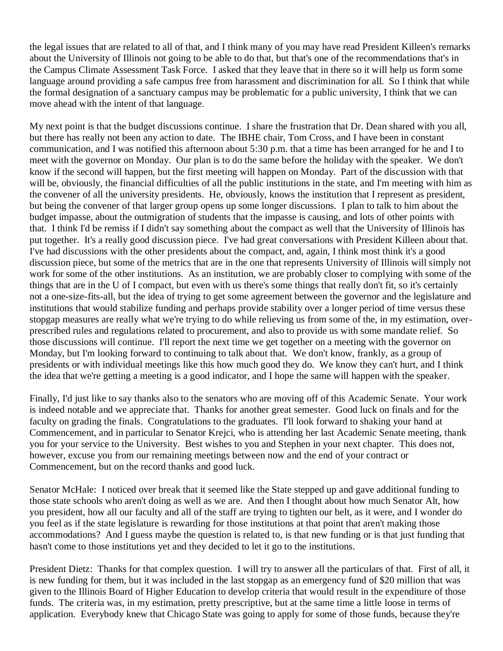the legal issues that are related to all of that, and I think many of you may have read President Killeen's remarks about the University of Illinois not going to be able to do that, but that's one of the recommendations that's in the Campus Climate Assessment Task Force. I asked that they leave that in there so it will help us form some language around providing a safe campus free from harassment and discrimination for all. So I think that while the formal designation of a sanctuary campus may be problematic for a public university, I think that we can move ahead with the intent of that language.

My next point is that the budget discussions continue. I share the frustration that Dr. Dean shared with you all, but there has really not been any action to date. The IBHE chair, Tom Cross, and I have been in constant communication, and I was notified this afternoon about 5:30 p.m. that a time has been arranged for he and I to meet with the governor on Monday. Our plan is to do the same before the holiday with the speaker. We don't know if the second will happen, but the first meeting will happen on Monday. Part of the discussion with that will be, obviously, the financial difficulties of all the public institutions in the state, and I'm meeting with him as the convener of all the university presidents. He, obviously, knows the institution that I represent as president, but being the convener of that larger group opens up some longer discussions. I plan to talk to him about the budget impasse, about the outmigration of students that the impasse is causing, and lots of other points with that. I think I'd be remiss if I didn't say something about the compact as well that the University of Illinois has put together. It's a really good discussion piece. I've had great conversations with President Killeen about that. I've had discussions with the other presidents about the compact, and, again, I think most think it's a good discussion piece, but some of the metrics that are in the one that represents University of Illinois will simply not work for some of the other institutions. As an institution, we are probably closer to complying with some of the things that are in the U of I compact, but even with us there's some things that really don't fit, so it's certainly not a one-size-fits-all, but the idea of trying to get some agreement between the governor and the legislature and institutions that would stabilize funding and perhaps provide stability over a longer period of time versus these stopgap measures are really what we're trying to do while relieving us from some of the, in my estimation, overprescribed rules and regulations related to procurement, and also to provide us with some mandate relief. So those discussions will continue. I'll report the next time we get together on a meeting with the governor on Monday, but I'm looking forward to continuing to talk about that. We don't know, frankly, as a group of presidents or with individual meetings like this how much good they do. We know they can't hurt, and I think the idea that we're getting a meeting is a good indicator, and I hope the same will happen with the speaker.

Finally, I'd just like to say thanks also to the senators who are moving off of this Academic Senate. Your work is indeed notable and we appreciate that. Thanks for another great semester. Good luck on finals and for the faculty on grading the finals. Congratulations to the graduates. I'll look forward to shaking your hand at Commencement, and in particular to Senator Krejci, who is attending her last Academic Senate meeting, thank you for your service to the University. Best wishes to you and Stephen in your next chapter. This does not, however, excuse you from our remaining meetings between now and the end of your contract or Commencement, but on the record thanks and good luck.

Senator McHale: I noticed over break that it seemed like the State stepped up and gave additional funding to those state schools who aren't doing as well as we are. And then I thought about how much Senator Alt, how you president, how all our faculty and all of the staff are trying to tighten our belt, as it were, and I wonder do you feel as if the state legislature is rewarding for those institutions at that point that aren't making those accommodations? And I guess maybe the question is related to, is that new funding or is that just funding that hasn't come to those institutions yet and they decided to let it go to the institutions.

President Dietz: Thanks for that complex question. I will try to answer all the particulars of that. First of all, it is new funding for them, but it was included in the last stopgap as an emergency fund of \$20 million that was given to the Illinois Board of Higher Education to develop criteria that would result in the expenditure of those funds. The criteria was, in my estimation, pretty prescriptive, but at the same time a little loose in terms of application. Everybody knew that Chicago State was going to apply for some of those funds, because they're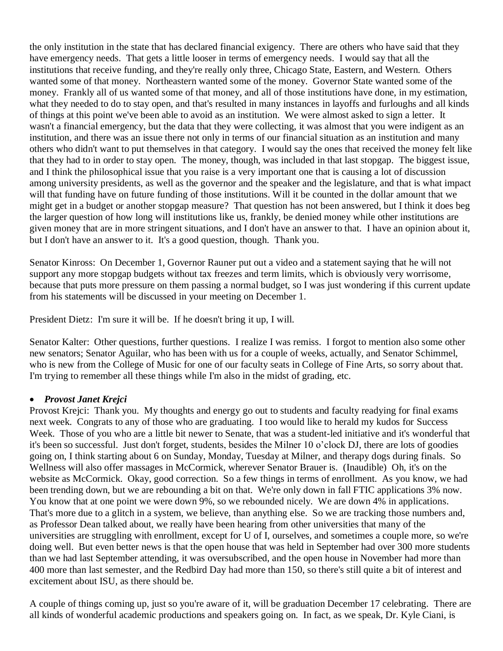the only institution in the state that has declared financial exigency. There are others who have said that they have emergency needs. That gets a little looser in terms of emergency needs. I would say that all the institutions that receive funding, and they're really only three, Chicago State, Eastern, and Western. Others wanted some of that money. Northeastern wanted some of the money. Governor State wanted some of the money. Frankly all of us wanted some of that money, and all of those institutions have done, in my estimation, what they needed to do to stay open, and that's resulted in many instances in layoffs and furloughs and all kinds of things at this point we've been able to avoid as an institution. We were almost asked to sign a letter. It wasn't a financial emergency, but the data that they were collecting, it was almost that you were indigent as an institution, and there was an issue there not only in terms of our financial situation as an institution and many others who didn't want to put themselves in that category. I would say the ones that received the money felt like that they had to in order to stay open. The money, though, was included in that last stopgap. The biggest issue, and I think the philosophical issue that you raise is a very important one that is causing a lot of discussion among university presidents, as well as the governor and the speaker and the legislature, and that is what impact will that funding have on future funding of those institutions. Will it be counted in the dollar amount that we might get in a budget or another stopgap measure? That question has not been answered, but I think it does beg the larger question of how long will institutions like us, frankly, be denied money while other institutions are given money that are in more stringent situations, and I don't have an answer to that. I have an opinion about it, but I don't have an answer to it. It's a good question, though. Thank you.

Senator Kinross: On December 1, Governor Rauner put out a video and a statement saying that he will not support any more stopgap budgets without tax freezes and term limits, which is obviously very worrisome, because that puts more pressure on them passing a normal budget, so I was just wondering if this current update from his statements will be discussed in your meeting on December 1.

President Dietz: I'm sure it will be. If he doesn't bring it up, I will.

Senator Kalter: Other questions, further questions. I realize I was remiss. I forgot to mention also some other new senators; Senator Aguilar, who has been with us for a couple of weeks, actually, and Senator Schimmel, who is new from the College of Music for one of our faculty seats in College of Fine Arts, so sorry about that. I'm trying to remember all these things while I'm also in the midst of grading, etc.

## • *Provost Janet Krejci*

Provost Krejci: Thank you. My thoughts and energy go out to students and faculty readying for final exams next week. Congrats to any of those who are graduating. I too would like to herald my kudos for Success Week. Those of you who are a little bit newer to Senate, that was a student-led initiative and it's wonderful that it's been so successful. Just don't forget, students, besides the Milner 10 o'clock DJ, there are lots of goodies going on, I think starting about 6 on Sunday, Monday, Tuesday at Milner, and therapy dogs during finals. So Wellness will also offer massages in McCormick, wherever Senator Brauer is. (Inaudible) Oh, it's on the website as McCormick. Okay, good correction. So a few things in terms of enrollment. As you know, we had been trending down, but we are rebounding a bit on that. We're only down in fall FTIC applications 3% now. You know that at one point we were down 9%, so we rebounded nicely. We are down 4% in applications. That's more due to a glitch in a system, we believe, than anything else. So we are tracking those numbers and, as Professor Dean talked about, we really have been hearing from other universities that many of the universities are struggling with enrollment, except for U of I, ourselves, and sometimes a couple more, so we're doing well. But even better news is that the open house that was held in September had over 300 more students than we had last September attending, it was oversubscribed, and the open house in November had more than 400 more than last semester, and the Redbird Day had more than 150, so there's still quite a bit of interest and excitement about ISU, as there should be.

A couple of things coming up, just so you're aware of it, will be graduation December 17 celebrating. There are all kinds of wonderful academic productions and speakers going on. In fact, as we speak, Dr. Kyle Ciani, is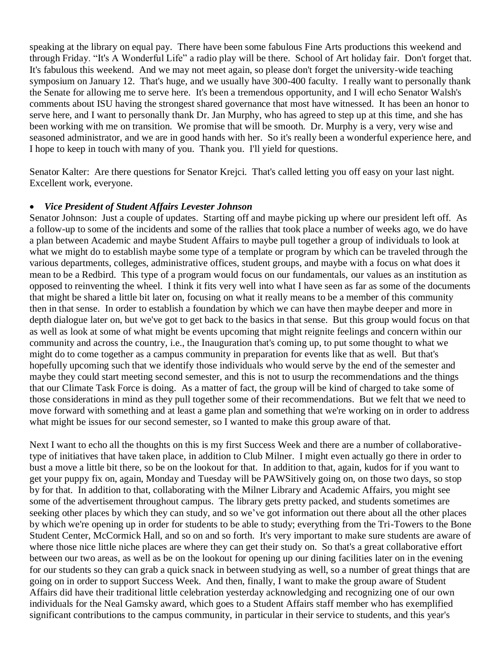speaking at the library on equal pay. There have been some fabulous Fine Arts productions this weekend and through Friday. "It's A Wonderful Life" a radio play will be there. School of Art holiday fair. Don't forget that. It's fabulous this weekend. And we may not meet again, so please don't forget the university-wide teaching symposium on January 12. That's huge, and we usually have 300-400 faculty. I really want to personally thank the Senate for allowing me to serve here. It's been a tremendous opportunity, and I will echo Senator Walsh's comments about ISU having the strongest shared governance that most have witnessed. It has been an honor to serve here, and I want to personally thank Dr. Jan Murphy, who has agreed to step up at this time, and she has been working with me on transition. We promise that will be smooth. Dr. Murphy is a very, very wise and seasoned administrator, and we are in good hands with her. So it's really been a wonderful experience here, and I hope to keep in touch with many of you. Thank you. I'll yield for questions.

Senator Kalter: Are there questions for Senator Krejci. That's called letting you off easy on your last night. Excellent work, everyone.

#### • *Vice President of Student Affairs Levester Johnson*

Senator Johnson: Just a couple of updates. Starting off and maybe picking up where our president left off. As a follow-up to some of the incidents and some of the rallies that took place a number of weeks ago, we do have a plan between Academic and maybe Student Affairs to maybe pull together a group of individuals to look at what we might do to establish maybe some type of a template or program by which can be traveled through the various departments, colleges, administrative offices, student groups, and maybe with a focus on what does it mean to be a Redbird. This type of a program would focus on our fundamentals, our values as an institution as opposed to reinventing the wheel. I think it fits very well into what I have seen as far as some of the documents that might be shared a little bit later on, focusing on what it really means to be a member of this community then in that sense. In order to establish a foundation by which we can have then maybe deeper and more in depth dialogue later on, but we've got to get back to the basics in that sense. But this group would focus on that as well as look at some of what might be events upcoming that might reignite feelings and concern within our community and across the country, i.e., the Inauguration that's coming up, to put some thought to what we might do to come together as a campus community in preparation for events like that as well. But that's hopefully upcoming such that we identify those individuals who would serve by the end of the semester and maybe they could start meeting second semester, and this is not to usurp the recommendations and the things that our Climate Task Force is doing. As a matter of fact, the group will be kind of charged to take some of those considerations in mind as they pull together some of their recommendations. But we felt that we need to move forward with something and at least a game plan and something that we're working on in order to address what might be issues for our second semester, so I wanted to make this group aware of that.

Next I want to echo all the thoughts on this is my first Success Week and there are a number of collaborativetype of initiatives that have taken place, in addition to Club Milner. I might even actually go there in order to bust a move a little bit there, so be on the lookout for that. In addition to that, again, kudos for if you want to get your puppy fix on, again, Monday and Tuesday will be PAWSitively going on, on those two days, so stop by for that. In addition to that, collaborating with the Milner Library and Academic Affairs, you might see some of the advertisement throughout campus. The library gets pretty packed, and students sometimes are seeking other places by which they can study, and so we've got information out there about all the other places by which we're opening up in order for students to be able to study; everything from the Tri-Towers to the Bone Student Center, McCormick Hall, and so on and so forth. It's very important to make sure students are aware of where those nice little niche places are where they can get their study on. So that's a great collaborative effort between our two areas, as well as be on the lookout for opening up our dining facilities later on in the evening for our students so they can grab a quick snack in between studying as well, so a number of great things that are going on in order to support Success Week. And then, finally, I want to make the group aware of Student Affairs did have their traditional little celebration yesterday acknowledging and recognizing one of our own individuals for the Neal Gamsky award, which goes to a Student Affairs staff member who has exemplified significant contributions to the campus community, in particular in their service to students, and this year's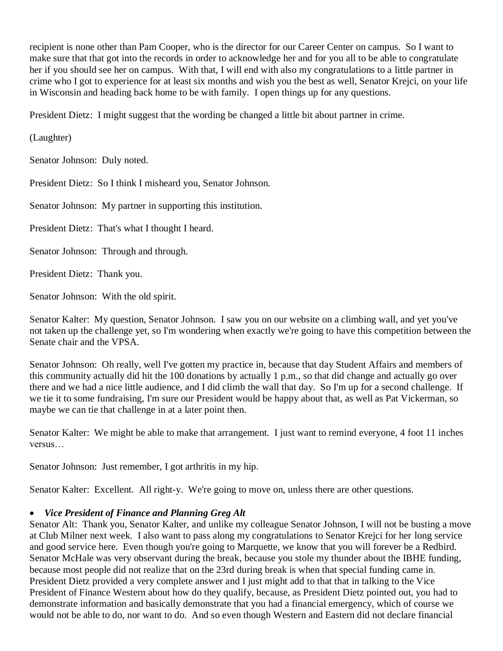recipient is none other than Pam Cooper, who is the director for our Career Center on campus. So I want to make sure that that got into the records in order to acknowledge her and for you all to be able to congratulate her if you should see her on campus. With that, I will end with also my congratulations to a little partner in crime who I got to experience for at least six months and wish you the best as well, Senator Krejci, on your life in Wisconsin and heading back home to be with family. I open things up for any questions.

President Dietz: I might suggest that the wording be changed a little bit about partner in crime.

(Laughter)

Senator Johnson: Duly noted.

President Dietz: So I think I misheard you, Senator Johnson.

Senator Johnson: My partner in supporting this institution.

President Dietz: That's what I thought I heard.

Senator Johnson: Through and through.

President Dietz: Thank you.

Senator Johnson: With the old spirit.

Senator Kalter: My question, Senator Johnson. I saw you on our website on a climbing wall, and yet you've not taken up the challenge yet, so I'm wondering when exactly we're going to have this competition between the Senate chair and the VPSA.

Senator Johnson: Oh really, well I've gotten my practice in, because that day Student Affairs and members of this community actually did hit the 100 donations by actually 1 p.m., so that did change and actually go over there and we had a nice little audience, and I did climb the wall that day. So I'm up for a second challenge. If we tie it to some fundraising, I'm sure our President would be happy about that, as well as Pat Vickerman, so maybe we can tie that challenge in at a later point then.

Senator Kalter: We might be able to make that arrangement. I just want to remind everyone, 4 foot 11 inches versus…

Senator Johnson: Just remember, I got arthritis in my hip.

Senator Kalter: Excellent. All right-y. We're going to move on, unless there are other questions.

## • *Vice President of Finance and Planning Greg Alt*

Senator Alt: Thank you, Senator Kalter, and unlike my colleague Senator Johnson, I will not be busting a move at Club Milner next week. I also want to pass along my congratulations to Senator Krejci for her long service and good service here. Even though you're going to Marquette, we know that you will forever be a Redbird. Senator McHale was very observant during the break, because you stole my thunder about the IBHE funding, because most people did not realize that on the 23rd during break is when that special funding came in. President Dietz provided a very complete answer and I just might add to that that in talking to the Vice President of Finance Western about how do they qualify, because, as President Dietz pointed out, you had to demonstrate information and basically demonstrate that you had a financial emergency, which of course we would not be able to do, nor want to do. And so even though Western and Eastern did not declare financial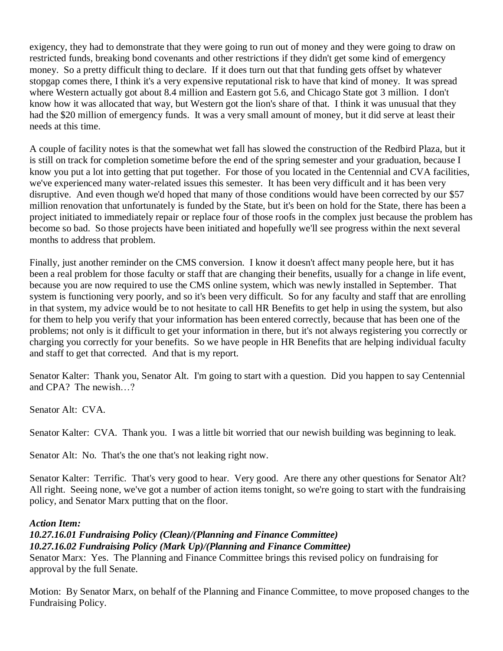exigency, they had to demonstrate that they were going to run out of money and they were going to draw on restricted funds, breaking bond covenants and other restrictions if they didn't get some kind of emergency money. So a pretty difficult thing to declare. If it does turn out that that funding gets offset by whatever stopgap comes there, I think it's a very expensive reputational risk to have that kind of money. It was spread where Western actually got about 8.4 million and Eastern got 5.6, and Chicago State got 3 million. I don't know how it was allocated that way, but Western got the lion's share of that. I think it was unusual that they had the \$20 million of emergency funds. It was a very small amount of money, but it did serve at least their needs at this time.

A couple of facility notes is that the somewhat wet fall has slowed the construction of the Redbird Plaza, but it is still on track for completion sometime before the end of the spring semester and your graduation, because I know you put a lot into getting that put together. For those of you located in the Centennial and CVA facilities, we've experienced many water-related issues this semester. It has been very difficult and it has been very disruptive. And even though we'd hoped that many of those conditions would have been corrected by our \$57 million renovation that unfortunately is funded by the State, but it's been on hold for the State, there has been a project initiated to immediately repair or replace four of those roofs in the complex just because the problem has become so bad. So those projects have been initiated and hopefully we'll see progress within the next several months to address that problem.

Finally, just another reminder on the CMS conversion. I know it doesn't affect many people here, but it has been a real problem for those faculty or staff that are changing their benefits, usually for a change in life event, because you are now required to use the CMS online system, which was newly installed in September. That system is functioning very poorly, and so it's been very difficult. So for any faculty and staff that are enrolling in that system, my advice would be to not hesitate to call HR Benefits to get help in using the system, but also for them to help you verify that your information has been entered correctly, because that has been one of the problems; not only is it difficult to get your information in there, but it's not always registering you correctly or charging you correctly for your benefits. So we have people in HR Benefits that are helping individual faculty and staff to get that corrected. And that is my report.

Senator Kalter: Thank you, Senator Alt. I'm going to start with a question. Did you happen to say Centennial and CPA? The newish…?

Senator Alt: CVA.

Senator Kalter: CVA. Thank you. I was a little bit worried that our newish building was beginning to leak.

Senator Alt: No. That's the one that's not leaking right now.

Senator Kalter: Terrific. That's very good to hear. Very good. Are there any other questions for Senator Alt? All right. Seeing none, we've got a number of action items tonight, so we're going to start with the fundraising policy, and Senator Marx putting that on the floor.

#### *Action Item:*

## *10.27.16.01 Fundraising Policy (Clean)/(Planning and Finance Committee) 10.27.16.02 Fundraising Policy (Mark Up)/(Planning and Finance Committee)*

Senator Marx: Yes. The Planning and Finance Committee brings this revised policy on fundraising for approval by the full Senate.

Motion: By Senator Marx, on behalf of the Planning and Finance Committee, to move proposed changes to the Fundraising Policy.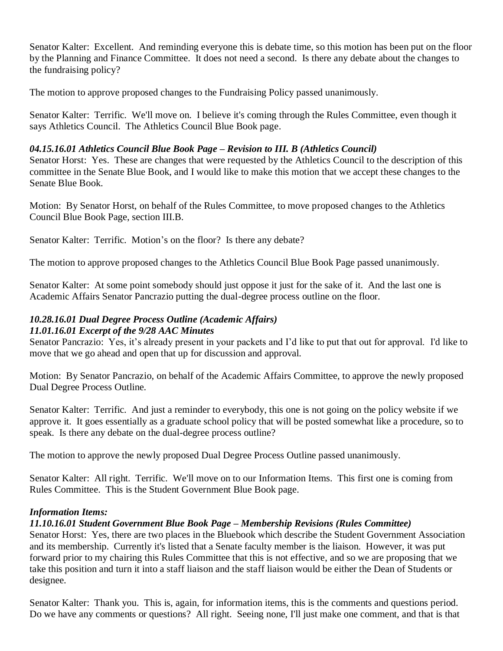Senator Kalter: Excellent. And reminding everyone this is debate time, so this motion has been put on the floor by the Planning and Finance Committee. It does not need a second. Is there any debate about the changes to the fundraising policy?

The motion to approve proposed changes to the Fundraising Policy passed unanimously.

Senator Kalter: Terrific. We'll move on. I believe it's coming through the Rules Committee, even though it says Athletics Council. The Athletics Council Blue Book page.

## *04.15.16.01 Athletics Council Blue Book Page – Revision to III. B (Athletics Council)*

Senator Horst: Yes. These are changes that were requested by the Athletics Council to the description of this committee in the Senate Blue Book, and I would like to make this motion that we accept these changes to the Senate Blue Book.

Motion: By Senator Horst, on behalf of the Rules Committee, to move proposed changes to the Athletics Council Blue Book Page, section III.B.

Senator Kalter: Terrific. Motion's on the floor? Is there any debate?

The motion to approve proposed changes to the Athletics Council Blue Book Page passed unanimously.

Senator Kalter: At some point somebody should just oppose it just for the sake of it. And the last one is Academic Affairs Senator Pancrazio putting the dual-degree process outline on the floor.

#### *10.28.16.01 Dual Degree Process Outline (Academic Affairs) 11.01.16.01 Excerpt of the 9/28 AAC Minutes*

Senator Pancrazio: Yes, it's already present in your packets and I'd like to put that out for approval. I'd like to move that we go ahead and open that up for discussion and approval.

Motion: By Senator Pancrazio, on behalf of the Academic Affairs Committee, to approve the newly proposed Dual Degree Process Outline.

Senator Kalter: Terrific. And just a reminder to everybody, this one is not going on the policy website if we approve it. It goes essentially as a graduate school policy that will be posted somewhat like a procedure, so to speak. Is there any debate on the dual-degree process outline?

The motion to approve the newly proposed Dual Degree Process Outline passed unanimously.

Senator Kalter: All right. Terrific. We'll move on to our Information Items. This first one is coming from Rules Committee. This is the Student Government Blue Book page.

## *Information Items:*

## *11.10.16.01 Student Government Blue Book Page – Membership Revisions (Rules Committee)*

Senator Horst: Yes, there are two places in the Bluebook which describe the Student Government Association and its membership. Currently it's listed that a Senate faculty member is the liaison. However, it was put forward prior to my chairing this Rules Committee that this is not effective, and so we are proposing that we take this position and turn it into a staff liaison and the staff liaison would be either the Dean of Students or designee.

Senator Kalter: Thank you. This is, again, for information items, this is the comments and questions period. Do we have any comments or questions? All right. Seeing none, I'll just make one comment, and that is that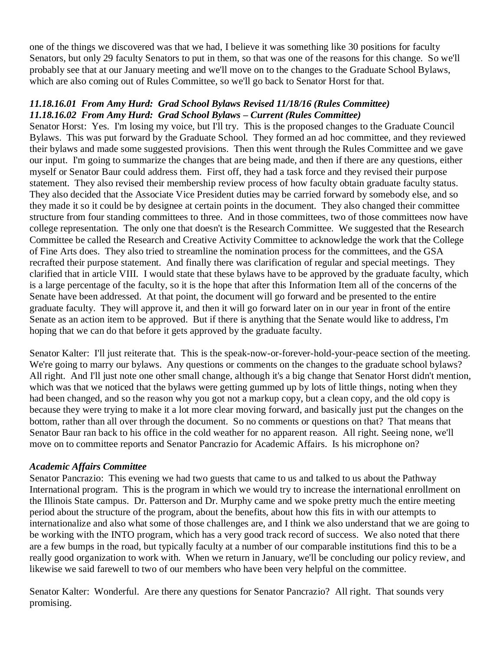one of the things we discovered was that we had, I believe it was something like 30 positions for faculty Senators, but only 29 faculty Senators to put in them, so that was one of the reasons for this change. So we'll probably see that at our January meeting and we'll move on to the changes to the Graduate School Bylaws, which are also coming out of Rules Committee, so we'll go back to Senator Horst for that.

#### *11.18.16.01 From Amy Hurd: Grad School Bylaws Revised 11/18/16 (Rules Committee) 11.18.16.02 From Amy Hurd: Grad School Bylaws – Current (Rules Committee)*

Senator Horst: Yes. I'm losing my voice, but I'll try. This is the proposed changes to the Graduate Council Bylaws. This was put forward by the Graduate School. They formed an ad hoc committee, and they reviewed their bylaws and made some suggested provisions. Then this went through the Rules Committee and we gave our input. I'm going to summarize the changes that are being made, and then if there are any questions, either myself or Senator Baur could address them. First off, they had a task force and they revised their purpose statement. They also revised their membership review process of how faculty obtain graduate faculty status. They also decided that the Associate Vice President duties may be carried forward by somebody else, and so they made it so it could be by designee at certain points in the document. They also changed their committee structure from four standing committees to three. And in those committees, two of those committees now have college representation. The only one that doesn't is the Research Committee. We suggested that the Research Committee be called the Research and Creative Activity Committee to acknowledge the work that the College of Fine Arts does. They also tried to streamline the nomination process for the committees, and the GSA recrafted their purpose statement. And finally there was clarification of regular and special meetings. They clarified that in article VIII. I would state that these bylaws have to be approved by the graduate faculty, which is a large percentage of the faculty, so it is the hope that after this Information Item all of the concerns of the Senate have been addressed. At that point, the document will go forward and be presented to the entire graduate faculty. They will approve it, and then it will go forward later on in our year in front of the entire Senate as an action item to be approved. But if there is anything that the Senate would like to address, I'm hoping that we can do that before it gets approved by the graduate faculty.

Senator Kalter: I'll just reiterate that. This is the speak-now-or-forever-hold-your-peace section of the meeting. We're going to marry our bylaws. Any questions or comments on the changes to the graduate school bylaws? All right. And I'll just note one other small change, although it's a big change that Senator Horst didn't mention, which was that we noticed that the bylaws were getting gummed up by lots of little things, noting when they had been changed, and so the reason why you got not a markup copy, but a clean copy, and the old copy is because they were trying to make it a lot more clear moving forward, and basically just put the changes on the bottom, rather than all over through the document. So no comments or questions on that? That means that Senator Baur ran back to his office in the cold weather for no apparent reason. All right. Seeing none, we'll move on to committee reports and Senator Pancrazio for Academic Affairs. Is his microphone on?

## *Academic Affairs Committee*

Senator Pancrazio: This evening we had two guests that came to us and talked to us about the Pathway International program. This is the program in which we would try to increase the international enrollment on the Illinois State campus. Dr. Patterson and Dr. Murphy came and we spoke pretty much the entire meeting period about the structure of the program, about the benefits, about how this fits in with our attempts to internationalize and also what some of those challenges are, and I think we also understand that we are going to be working with the INTO program, which has a very good track record of success. We also noted that there are a few bumps in the road, but typically faculty at a number of our comparable institutions find this to be a really good organization to work with. When we return in January, we'll be concluding our policy review, and likewise we said farewell to two of our members who have been very helpful on the committee.

Senator Kalter: Wonderful. Are there any questions for Senator Pancrazio? All right. That sounds very promising.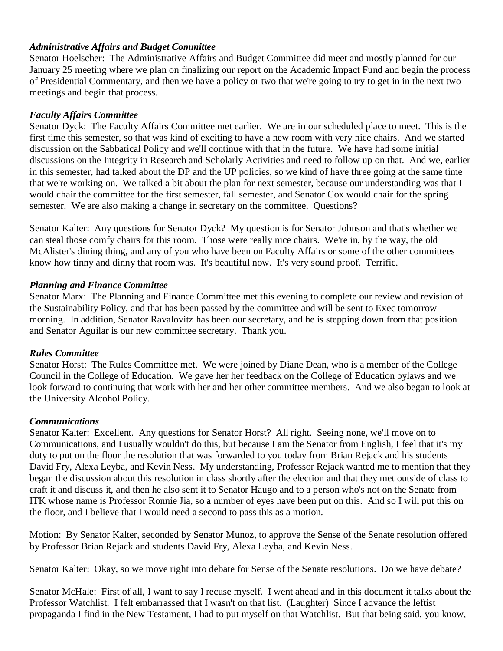#### *Administrative Affairs and Budget Committee*

Senator Hoelscher: The Administrative Affairs and Budget Committee did meet and mostly planned for our January 25 meeting where we plan on finalizing our report on the Academic Impact Fund and begin the process of Presidential Commentary, and then we have a policy or two that we're going to try to get in in the next two meetings and begin that process.

#### *Faculty Affairs Committee*

Senator Dyck: The Faculty Affairs Committee met earlier. We are in our scheduled place to meet. This is the first time this semester, so that was kind of exciting to have a new room with very nice chairs. And we started discussion on the Sabbatical Policy and we'll continue with that in the future. We have had some initial discussions on the Integrity in Research and Scholarly Activities and need to follow up on that. And we, earlier in this semester, had talked about the DP and the UP policies, so we kind of have three going at the same time that we're working on. We talked a bit about the plan for next semester, because our understanding was that I would chair the committee for the first semester, fall semester, and Senator Cox would chair for the spring semester. We are also making a change in secretary on the committee. Questions?

Senator Kalter: Any questions for Senator Dyck? My question is for Senator Johnson and that's whether we can steal those comfy chairs for this room. Those were really nice chairs. We're in, by the way, the old McAlister's dining thing, and any of you who have been on Faculty Affairs or some of the other committees know how tinny and dinny that room was. It's beautiful now. It's very sound proof. Terrific.

#### *Planning and Finance Committee*

Senator Marx: The Planning and Finance Committee met this evening to complete our review and revision of the Sustainability Policy, and that has been passed by the committee and will be sent to Exec tomorrow morning. In addition, Senator Ravalovitz has been our secretary, and he is stepping down from that position and Senator Aguilar is our new committee secretary. Thank you.

#### *Rules Committee*

Senator Horst: The Rules Committee met. We were joined by Diane Dean, who is a member of the College Council in the College of Education. We gave her her feedback on the College of Education bylaws and we look forward to continuing that work with her and her other committee members. And we also began to look at the University Alcohol Policy.

#### *Communications*

Senator Kalter: Excellent. Any questions for Senator Horst? All right. Seeing none, we'll move on to Communications, and I usually wouldn't do this, but because I am the Senator from English, I feel that it's my duty to put on the floor the resolution that was forwarded to you today from Brian Rejack and his students David Fry, Alexa Leyba, and Kevin Ness. My understanding, Professor Rejack wanted me to mention that they began the discussion about this resolution in class shortly after the election and that they met outside of class to craft it and discuss it, and then he also sent it to Senator Haugo and to a person who's not on the Senate from ITK whose name is Professor Ronnie Jia, so a number of eyes have been put on this. And so I will put this on the floor, and I believe that I would need a second to pass this as a motion.

Motion: By Senator Kalter, seconded by Senator Munoz, to approve the Sense of the Senate resolution offered by Professor Brian Rejack and students David Fry, Alexa Leyba, and Kevin Ness.

Senator Kalter: Okay, so we move right into debate for Sense of the Senate resolutions. Do we have debate?

Senator McHale: First of all, I want to say I recuse myself. I went ahead and in this document it talks about the Professor Watchlist. I felt embarrassed that I wasn't on that list. (Laughter) Since I advance the leftist propaganda I find in the New Testament, I had to put myself on that Watchlist. But that being said, you know,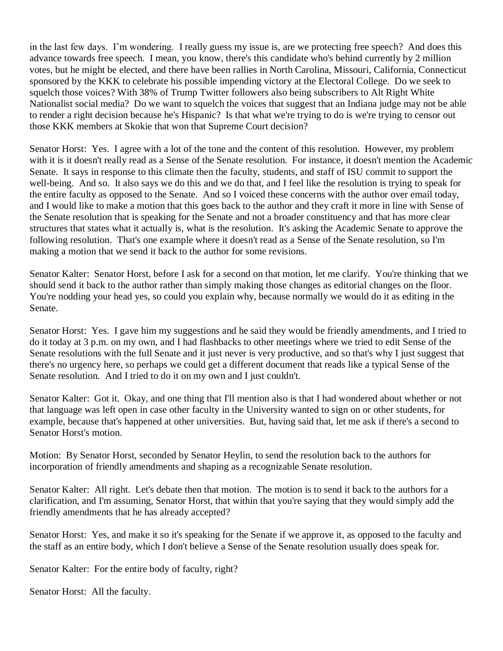in the last few days. I'm wondering. I really guess my issue is, are we protecting free speech? And does this advance towards free speech. I mean, you know, there's this candidate who's behind currently by 2 million votes, but he might be elected, and there have been rallies in North Carolina, Missouri, California, Connecticut sponsored by the KKK to celebrate his possible impending victory at the Electoral College. Do we seek to squelch those voices? With 38% of Trump Twitter followers also being subscribers to Alt Right White Nationalist social media? Do we want to squelch the voices that suggest that an Indiana judge may not be able to render a right decision because he's Hispanic? Is that what we're trying to do is we're trying to censor out those KKK members at Skokie that won that Supreme Court decision?

Senator Horst: Yes. I agree with a lot of the tone and the content of this resolution. However, my problem with it is it doesn't really read as a Sense of the Senate resolution. For instance, it doesn't mention the Academic Senate. It says in response to this climate then the faculty, students, and staff of ISU commit to support the well-being. And so. It also says we do this and we do that, and I feel like the resolution is trying to speak for the entire faculty as opposed to the Senate. And so I voiced these concerns with the author over email today, and I would like to make a motion that this goes back to the author and they craft it more in line with Sense of the Senate resolution that is speaking for the Senate and not a broader constituency and that has more clear structures that states what it actually is, what is the resolution. It's asking the Academic Senate to approve the following resolution. That's one example where it doesn't read as a Sense of the Senate resolution, so I'm making a motion that we send it back to the author for some revisions.

Senator Kalter: Senator Horst, before I ask for a second on that motion, let me clarify. You're thinking that we should send it back to the author rather than simply making those changes as editorial changes on the floor. You're nodding your head yes, so could you explain why, because normally we would do it as editing in the Senate.

Senator Horst: Yes. I gave him my suggestions and he said they would be friendly amendments, and I tried to do it today at 3 p.m. on my own, and I had flashbacks to other meetings where we tried to edit Sense of the Senate resolutions with the full Senate and it just never is very productive, and so that's why I just suggest that there's no urgency here, so perhaps we could get a different document that reads like a typical Sense of the Senate resolution. And I tried to do it on my own and I just couldn't.

Senator Kalter: Got it. Okay, and one thing that I'll mention also is that I had wondered about whether or not that language was left open in case other faculty in the University wanted to sign on or other students, for example, because that's happened at other universities. But, having said that, let me ask if there's a second to Senator Horst's motion.

Motion: By Senator Horst, seconded by Senator Heylin, to send the resolution back to the authors for incorporation of friendly amendments and shaping as a recognizable Senate resolution.

Senator Kalter: All right. Let's debate then that motion. The motion is to send it back to the authors for a clarification, and I'm assuming, Senator Horst, that within that you're saying that they would simply add the friendly amendments that he has already accepted?

Senator Horst: Yes, and make it so it's speaking for the Senate if we approve it, as opposed to the faculty and the staff as an entire body, which I don't believe a Sense of the Senate resolution usually does speak for.

Senator Kalter: For the entire body of faculty, right?

Senator Horst: All the faculty.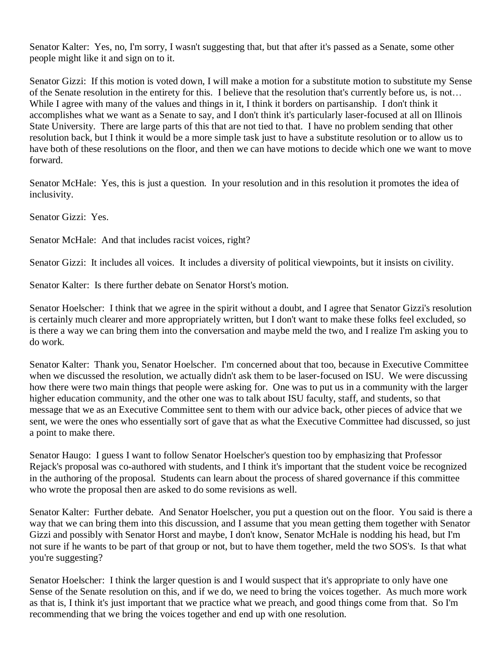Senator Kalter: Yes, no, I'm sorry, I wasn't suggesting that, but that after it's passed as a Senate, some other people might like it and sign on to it.

Senator Gizzi: If this motion is voted down, I will make a motion for a substitute motion to substitute my Sense of the Senate resolution in the entirety for this. I believe that the resolution that's currently before us, is not… While I agree with many of the values and things in it, I think it borders on partisanship. I don't think it accomplishes what we want as a Senate to say, and I don't think it's particularly laser-focused at all on Illinois State University. There are large parts of this that are not tied to that. I have no problem sending that other resolution back, but I think it would be a more simple task just to have a substitute resolution or to allow us to have both of these resolutions on the floor, and then we can have motions to decide which one we want to move forward.

Senator McHale: Yes, this is just a question. In your resolution and in this resolution it promotes the idea of inclusivity.

Senator Gizzi: Yes.

Senator McHale: And that includes racist voices, right?

Senator Gizzi: It includes all voices. It includes a diversity of political viewpoints, but it insists on civility.

Senator Kalter: Is there further debate on Senator Horst's motion.

Senator Hoelscher: I think that we agree in the spirit without a doubt, and I agree that Senator Gizzi's resolution is certainly much clearer and more appropriately written, but I don't want to make these folks feel excluded, so is there a way we can bring them into the conversation and maybe meld the two, and I realize I'm asking you to do work.

Senator Kalter: Thank you, Senator Hoelscher. I'm concerned about that too, because in Executive Committee when we discussed the resolution, we actually didn't ask them to be laser-focused on ISU. We were discussing how there were two main things that people were asking for. One was to put us in a community with the larger higher education community, and the other one was to talk about ISU faculty, staff, and students, so that message that we as an Executive Committee sent to them with our advice back, other pieces of advice that we sent, we were the ones who essentially sort of gave that as what the Executive Committee had discussed, so just a point to make there.

Senator Haugo: I guess I want to follow Senator Hoelscher's question too by emphasizing that Professor Rejack's proposal was co-authored with students, and I think it's important that the student voice be recognized in the authoring of the proposal. Students can learn about the process of shared governance if this committee who wrote the proposal then are asked to do some revisions as well.

Senator Kalter: Further debate. And Senator Hoelscher, you put a question out on the floor. You said is there a way that we can bring them into this discussion, and I assume that you mean getting them together with Senator Gizzi and possibly with Senator Horst and maybe, I don't know, Senator McHale is nodding his head, but I'm not sure if he wants to be part of that group or not, but to have them together, meld the two SOS's. Is that what you're suggesting?

Senator Hoelscher: I think the larger question is and I would suspect that it's appropriate to only have one Sense of the Senate resolution on this, and if we do, we need to bring the voices together. As much more work as that is, I think it's just important that we practice what we preach, and good things come from that. So I'm recommending that we bring the voices together and end up with one resolution.